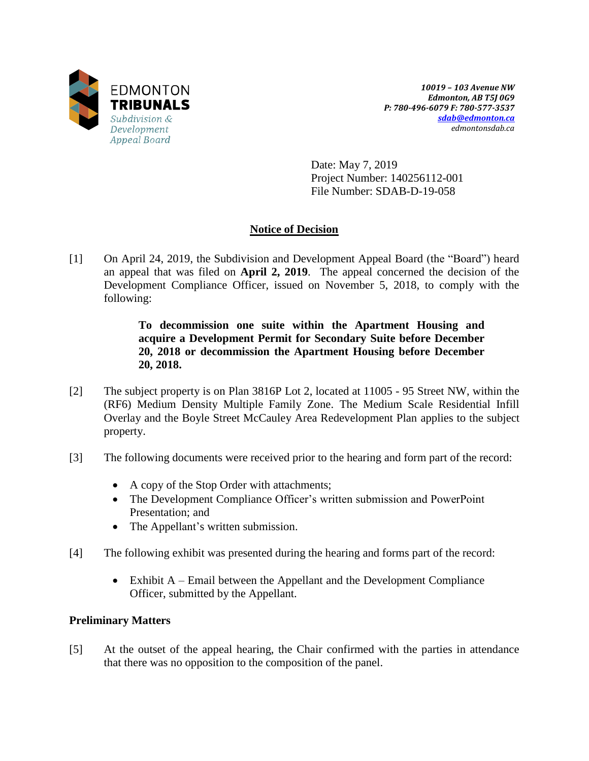

*10019 – 103 Avenue NW Edmonton, AB T5J 0G9 P: 780-496-6079 F: 780-577-3537 [sdab@edmonton.ca](mailto:sdab@edmonton.ca) edmontonsdab.ca*

Date: May 7, 2019 Project Number: 140256112-001 File Number: SDAB-D-19-058

# **Notice of Decision**

[1] On April 24, 2019, the Subdivision and Development Appeal Board (the "Board") heard an appeal that was filed on **April 2, 2019**. The appeal concerned the decision of the Development Compliance Officer, issued on November 5, 2018, to comply with the following:

> **To decommission one suite within the Apartment Housing and acquire a Development Permit for Secondary Suite before December 20, 2018 or decommission the Apartment Housing before December 20, 2018.**

- [2] The subject property is on Plan 3816P Lot 2, located at 11005 95 Street NW, within the (RF6) Medium Density Multiple Family Zone. The Medium Scale Residential Infill Overlay and the Boyle Street McCauley Area Redevelopment Plan applies to the subject property.
- [3] The following documents were received prior to the hearing and form part of the record:
	- A copy of the Stop Order with attachments;
	- The Development Compliance Officer's written submission and PowerPoint Presentation; and
	- The Appellant's written submission.
- [4] The following exhibit was presented during the hearing and forms part of the record:
	- Exhibit A Email between the Appellant and the Development Compliance Officer, submitted by the Appellant.

# **Preliminary Matters**

[5] At the outset of the appeal hearing, the Chair confirmed with the parties in attendance that there was no opposition to the composition of the panel.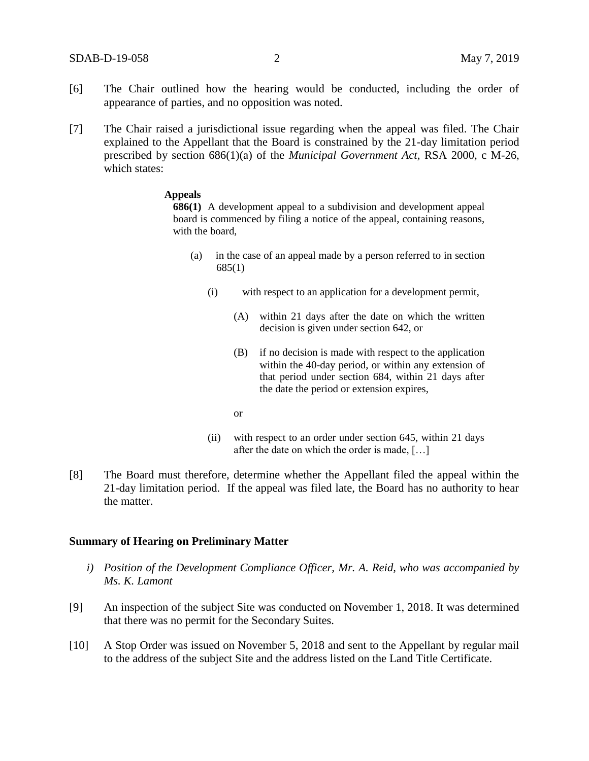- [6] The Chair outlined how the hearing would be conducted, including the order of appearance of parties, and no opposition was noted.
- [7] The Chair raised a jurisdictional issue regarding when the appeal was filed. The Chair explained to the Appellant that the Board is constrained by the 21-day limitation period prescribed by section 686(1)(a) of the *Municipal Government Act*, RSA 2000, c M-26, which states:

#### **Appeals**

**686(1)** A development appeal to a subdivision and development appeal board is commenced by filing a notice of the appeal, containing reasons, with the board,

- (a) in the case of an appeal made by a person referred to in section 685(1)
	- (i) with respect to an application for a development permit,
		- (A) within 21 days after the date on which the written decision is given under section 642, or
		- (B) if no decision is made with respect to the application within the 40-day period, or within any extension of that period under section 684, within 21 days after the date the period or extension expires,
		- or
	- (ii) with respect to an order under section 645, within 21 days after the date on which the order is made, […]
- [8] The Board must therefore, determine whether the Appellant filed the appeal within the 21-day limitation period. If the appeal was filed late, the Board has no authority to hear the matter.

## **Summary of Hearing on Preliminary Matter**

- *i) Position of the Development Compliance Officer, Mr. A. Reid, who was accompanied by Ms. K. Lamont*
- [9] An inspection of the subject Site was conducted on November 1, 2018. It was determined that there was no permit for the Secondary Suites.
- [10] A Stop Order was issued on November 5, 2018 and sent to the Appellant by regular mail to the address of the subject Site and the address listed on the Land Title Certificate.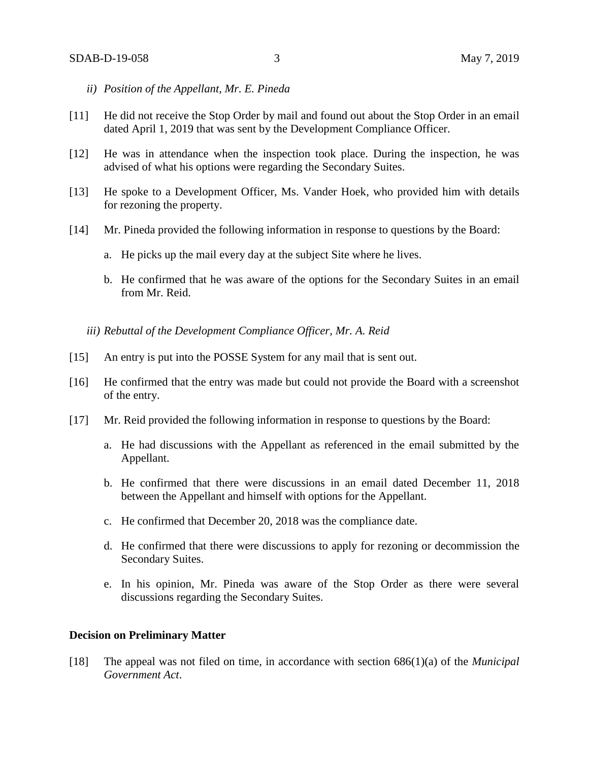- *ii) Position of the Appellant, Mr. E. Pineda*
- [11] He did not receive the Stop Order by mail and found out about the Stop Order in an email dated April 1, 2019 that was sent by the Development Compliance Officer.
- [12] He was in attendance when the inspection took place. During the inspection, he was advised of what his options were regarding the Secondary Suites.
- [13] He spoke to a Development Officer, Ms. Vander Hoek, who provided him with details for rezoning the property.
- [14] Mr. Pineda provided the following information in response to questions by the Board:
	- a. He picks up the mail every day at the subject Site where he lives.
	- b. He confirmed that he was aware of the options for the Secondary Suites in an email from Mr. Reid.
	- *iii) Rebuttal of the Development Compliance Officer, Mr. A. Reid*
- [15] An entry is put into the POSSE System for any mail that is sent out.
- [16] He confirmed that the entry was made but could not provide the Board with a screenshot of the entry.
- [17] Mr. Reid provided the following information in response to questions by the Board:
	- a. He had discussions with the Appellant as referenced in the email submitted by the Appellant.
	- b. He confirmed that there were discussions in an email dated December 11, 2018 between the Appellant and himself with options for the Appellant.
	- c. He confirmed that December 20, 2018 was the compliance date.
	- d. He confirmed that there were discussions to apply for rezoning or decommission the Secondary Suites.
	- e. In his opinion, Mr. Pineda was aware of the Stop Order as there were several discussions regarding the Secondary Suites.

## **Decision on Preliminary Matter**

[18] The appeal was not filed on time, in accordance with section 686(1)(a) of the *Municipal Government Act*.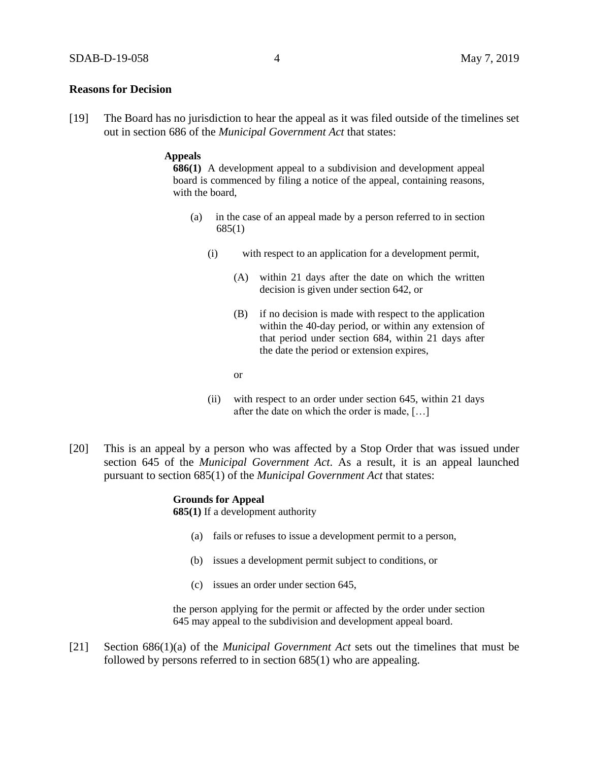### **Reasons for Decision**

[19] The Board has no jurisdiction to hear the appeal as it was filed outside of the timelines set out in section 686 of the *Municipal Government Act* that states:

## **Appeals**

**686(1)** A development appeal to a subdivision and development appeal board is commenced by filing a notice of the appeal, containing reasons, with the board,

- (a) in the case of an appeal made by a person referred to in section 685(1)
	- (i) with respect to an application for a development permit,
		- (A) within 21 days after the date on which the written decision is given under section 642, or
		- (B) if no decision is made with respect to the application within the 40-day period, or within any extension of that period under section 684, within 21 days after the date the period or extension expires,
		- or
	- (ii) with respect to an order under section 645, within 21 days after the date on which the order is made, […]
- [20] This is an appeal by a person who was affected by a Stop Order that was issued under section 645 of the *Municipal Government Act*. As a result, it is an appeal launched pursuant to section 685(1) of the *Municipal Government Act* that states:

#### **Grounds for Appeal**

**685(1)** If a development authority

- (a) fails or refuses to issue a development permit to a person,
- (b) issues a development permit subject to conditions, or
- (c) issues an order under section 645,

the person applying for the permit or affected by the order under section 645 may appeal to the subdivision and development appeal board.

[21] Section 686(1)(a) of the *Municipal Government Act* sets out the timelines that must be followed by persons referred to in section 685(1) who are appealing.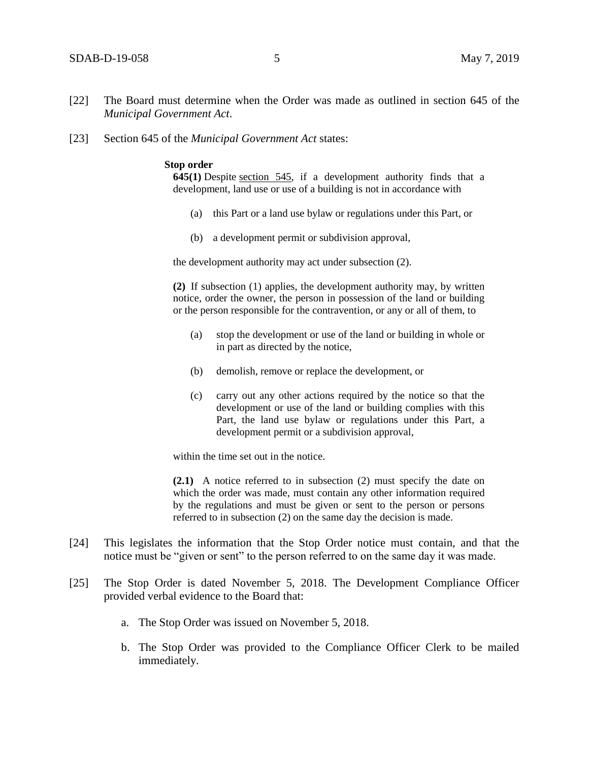- [22] The Board must determine when the Order was made as outlined in section 645 of the *Municipal Government Act*.
- [23] Section 645 of the *Municipal Government Act* states:

#### **Stop order**

**645(1)** Despite [section 545,](https://www.canlii.org/en/ab/laws/stat/rsa-2000-c-m-26/latest/rsa-2000-c-m-26.html#sec545_smooth) if a development authority finds that a development, land use or use of a building is not in accordance with

- (a) this Part or a land use bylaw or regulations under this Part, or
- (b) a development permit or subdivision approval,

the development authority may act under subsection (2).

**(2)** If subsection (1) applies, the development authority may, by written notice, order the owner, the person in possession of the land or building or the person responsible for the contravention, or any or all of them, to

- (a) stop the development or use of the land or building in whole or in part as directed by the notice,
- (b) demolish, remove or replace the development, or
- (c) carry out any other actions required by the notice so that the development or use of the land or building complies with this Part, the land use bylaw or regulations under this Part, a development permit or a subdivision approval,

within the time set out in the notice.

**(2.1)** A notice referred to in subsection (2) must specify the date on which the order was made, must contain any other information required by the regulations and must be given or sent to the person or persons referred to in subsection (2) on the same day the decision is made.

- [24] This legislates the information that the Stop Order notice must contain, and that the notice must be "given or sent" to the person referred to on the same day it was made.
- [25] The Stop Order is dated November 5, 2018. The Development Compliance Officer provided verbal evidence to the Board that:
	- a. The Stop Order was issued on November 5, 2018.
	- b. The Stop Order was provided to the Compliance Officer Clerk to be mailed immediately.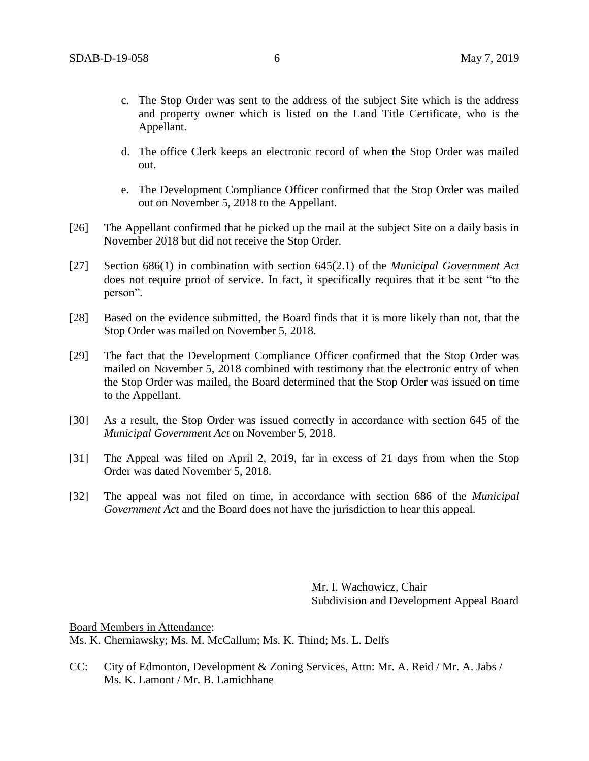- c. The Stop Order was sent to the address of the subject Site which is the address and property owner which is listed on the Land Title Certificate, who is the Appellant.
- d. The office Clerk keeps an electronic record of when the Stop Order was mailed out.
- e. The Development Compliance Officer confirmed that the Stop Order was mailed out on November 5, 2018 to the Appellant.
- [26] The Appellant confirmed that he picked up the mail at the subject Site on a daily basis in November 2018 but did not receive the Stop Order.
- [27] Section 686(1) in combination with section 645(2.1) of the *Municipal Government Act*  does not require proof of service. In fact, it specifically requires that it be sent "to the person".
- [28] Based on the evidence submitted, the Board finds that it is more likely than not, that the Stop Order was mailed on November 5, 2018.
- [29] The fact that the Development Compliance Officer confirmed that the Stop Order was mailed on November 5, 2018 combined with testimony that the electronic entry of when the Stop Order was mailed, the Board determined that the Stop Order was issued on time to the Appellant.
- [30] As a result, the Stop Order was issued correctly in accordance with section 645 of the *Municipal Government Act* on November 5, 2018.
- [31] The Appeal was filed on April 2, 2019, far in excess of 21 days from when the Stop Order was dated November 5, 2018.
- [32] The appeal was not filed on time, in accordance with section 686 of the *Municipal Government Act* and the Board does not have the jurisdiction to hear this appeal.

Mr. I. Wachowicz, Chair Subdivision and Development Appeal Board

Board Members in Attendance: Ms. K. Cherniawsky; Ms. M. McCallum; Ms. K. Thind; Ms. L. Delfs

CC: City of Edmonton, Development & Zoning Services, Attn: Mr. A. Reid / Mr. A. Jabs / Ms. K. Lamont / Mr. B. Lamichhane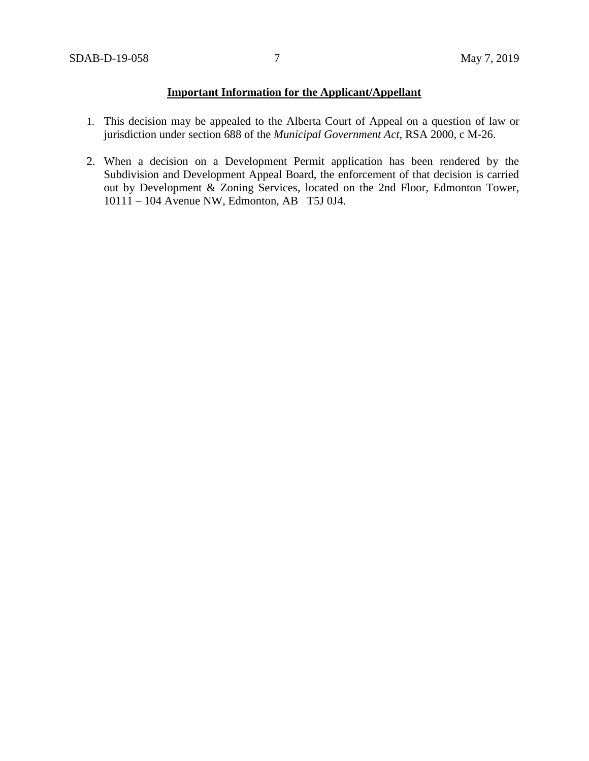# **Important Information for the Applicant/Appellant**

- 1. This decision may be appealed to the Alberta Court of Appeal on a question of law or jurisdiction under section 688 of the *Municipal Government Act*, RSA 2000, c M-26.
- 2. When a decision on a Development Permit application has been rendered by the Subdivision and Development Appeal Board, the enforcement of that decision is carried out by Development & Zoning Services, located on the 2nd Floor, Edmonton Tower, 10111 – 104 Avenue NW, Edmonton, AB T5J 0J4.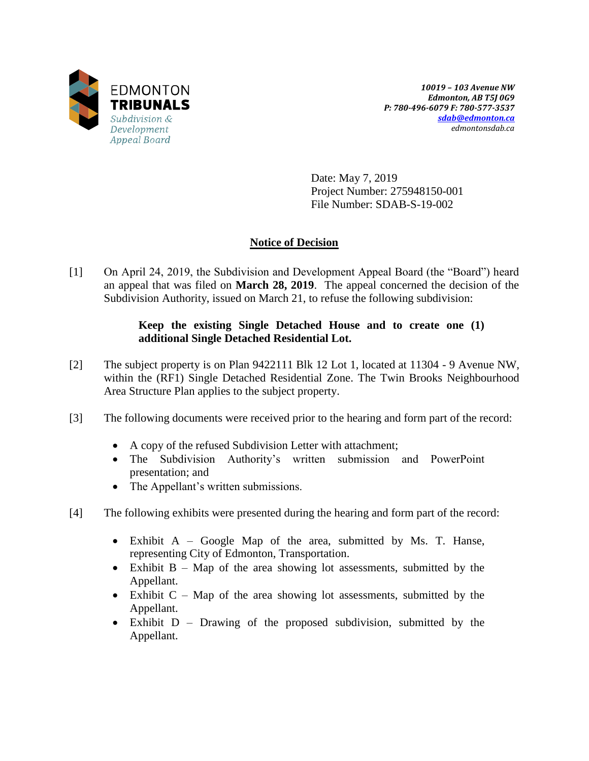

*10019 – 103 Avenue NW Edmonton, AB T5J 0G9 P: 780-496-6079 F: 780-577-3537 [sdab@edmonton.ca](mailto:sdab@edmonton.ca) edmontonsdab.ca*

Date: May 7, 2019 Project Number: 275948150-001 File Number: SDAB-S-19-002

# **Notice of Decision**

[1] On April 24, 2019, the Subdivision and Development Appeal Board (the "Board") heard an appeal that was filed on **March 28, 2019**. The appeal concerned the decision of the Subdivision Authority, issued on March 21, to refuse the following subdivision:

# **Keep the existing Single Detached House and to create one (1) additional Single Detached Residential Lot.**

- [2] The subject property is on Plan 9422111 Blk 12 Lot 1, located at 11304 9 Avenue NW, within the (RF1) Single Detached Residential Zone. The Twin Brooks Neighbourhood Area Structure Plan applies to the subject property.
- [3] The following documents were received prior to the hearing and form part of the record:
	- A copy of the refused Subdivision Letter with attachment;
	- The Subdivision Authority's written submission and PowerPoint presentation; and
	- The Appellant's written submissions.
- [4] The following exhibits were presented during the hearing and form part of the record:
	- $\bullet$  Exhibit A Google Map of the area, submitted by Ms. T. Hanse, representing City of Edmonton, Transportation.
	- Exhibit  $B Map$  of the area showing lot assessments, submitted by the Appellant.
	- $\bullet$  Exhibit C Map of the area showing lot assessments, submitted by the Appellant.
	- Exhibit D Drawing of the proposed subdivision, submitted by the Appellant.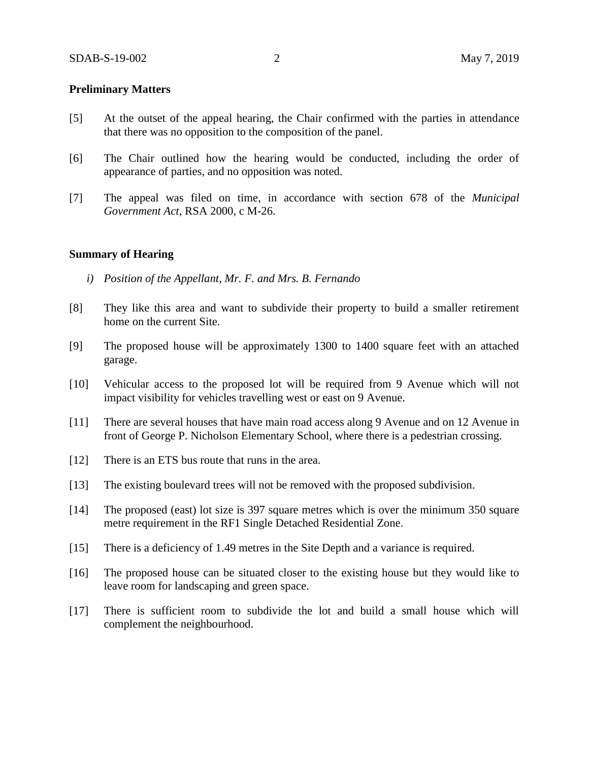# **Preliminary Matters**

- [5] At the outset of the appeal hearing, the Chair confirmed with the parties in attendance that there was no opposition to the composition of the panel.
- [6] The Chair outlined how the hearing would be conducted, including the order of appearance of parties, and no opposition was noted.
- [7] The appeal was filed on time, in accordance with section 678 of the *Municipal Government Act*, RSA 2000, c M-26.

### **Summary of Hearing**

- *i) Position of the Appellant, Mr. F. and Mrs. B. Fernando*
- [8] They like this area and want to subdivide their property to build a smaller retirement home on the current Site.
- [9] The proposed house will be approximately 1300 to 1400 square feet with an attached garage.
- [10] Vehicular access to the proposed lot will be required from 9 Avenue which will not impact visibility for vehicles travelling west or east on 9 Avenue.
- [11] There are several houses that have main road access along 9 Avenue and on 12 Avenue in front of George P. Nicholson Elementary School, where there is a pedestrian crossing.
- [12] There is an ETS bus route that runs in the area.
- [13] The existing boulevard trees will not be removed with the proposed subdivision.
- [14] The proposed (east) lot size is 397 square metres which is over the minimum 350 square metre requirement in the RF1 Single Detached Residential Zone.
- [15] There is a deficiency of 1.49 metres in the Site Depth and a variance is required.
- [16] The proposed house can be situated closer to the existing house but they would like to leave room for landscaping and green space.
- [17] There is sufficient room to subdivide the lot and build a small house which will complement the neighbourhood.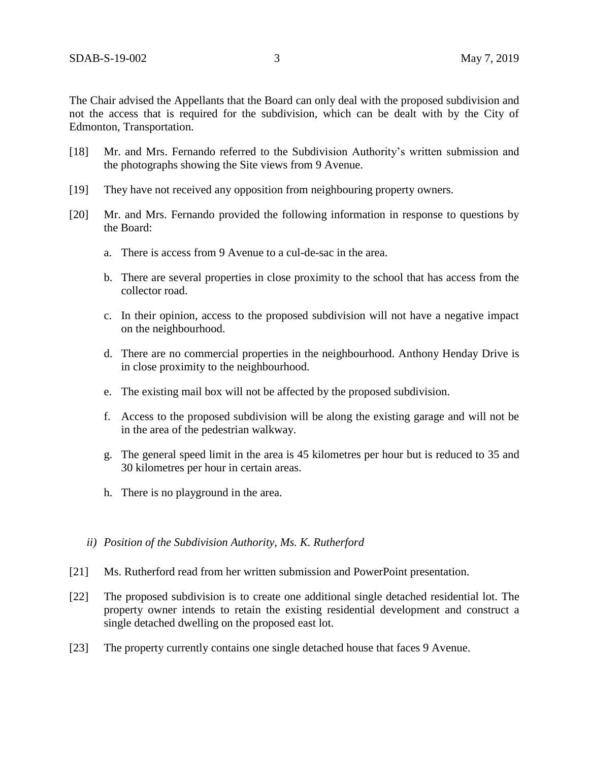The Chair advised the Appellants that the Board can only deal with the proposed subdivision and not the access that is required for the subdivision, which can be dealt with by the City of Edmonton, Transportation.

- [18] Mr. and Mrs. Fernando referred to the Subdivision Authority's written submission and the photographs showing the Site views from 9 Avenue.
- [19] They have not received any opposition from neighbouring property owners.
- [20] Mr. and Mrs. Fernando provided the following information in response to questions by the Board:
	- a. There is access from 9 Avenue to a cul-de-sac in the area.
	- b. There are several properties in close proximity to the school that has access from the collector road.
	- c. In their opinion, access to the proposed subdivision will not have a negative impact on the neighbourhood.
	- d. There are no commercial properties in the neighbourhood. Anthony Henday Drive is in close proximity to the neighbourhood.
	- e. The existing mail box will not be affected by the proposed subdivision.
	- f. Access to the proposed subdivision will be along the existing garage and will not be in the area of the pedestrian walkway.
	- g. The general speed limit in the area is 45 kilometres per hour but is reduced to 35 and 30 kilometres per hour in certain areas.
	- h. There is no playground in the area.
	- *ii) Position of the Subdivision Authority, Ms. K. Rutherford*
- [21] Ms. Rutherford read from her written submission and PowerPoint presentation.
- [22] The proposed subdivision is to create one additional single detached residential lot. The property owner intends to retain the existing residential development and construct a single detached dwelling on the proposed east lot.
- [23] The property currently contains one single detached house that faces 9 Avenue.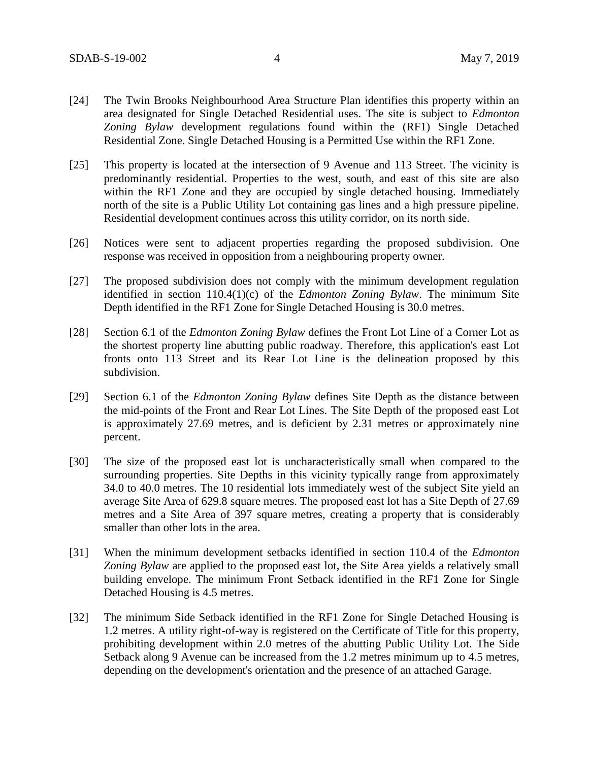- [24] The Twin Brooks Neighbourhood Area Structure Plan identifies this property within an area designated for Single Detached Residential uses. The site is subject to *Edmonton Zoning Bylaw* development regulations found within the (RF1) Single Detached Residential Zone. Single Detached Housing is a Permitted Use within the RF1 Zone.
- [25] This property is located at the intersection of 9 Avenue and 113 Street. The vicinity is predominantly residential. Properties to the west, south, and east of this site are also within the RF1 Zone and they are occupied by single detached housing. Immediately north of the site is a Public Utility Lot containing gas lines and a high pressure pipeline. Residential development continues across this utility corridor, on its north side.
- [26] Notices were sent to adjacent properties regarding the proposed subdivision. One response was received in opposition from a neighbouring property owner.
- [27] The proposed subdivision does not comply with the minimum development regulation identified in section 110.4(1)(c) of the *Edmonton Zoning Bylaw*. The minimum Site Depth identified in the RF1 Zone for Single Detached Housing is 30.0 metres.
- [28] Section 6.1 of the *Edmonton Zoning Bylaw* defines the Front Lot Line of a Corner Lot as the shortest property line abutting public roadway. Therefore, this application's east Lot fronts onto 113 Street and its Rear Lot Line is the delineation proposed by this subdivision.
- [29] Section 6.1 of the *Edmonton Zoning Bylaw* defines Site Depth as the distance between the mid-points of the Front and Rear Lot Lines. The Site Depth of the proposed east Lot is approximately 27.69 metres, and is deficient by 2.31 metres or approximately nine percent.
- [30] The size of the proposed east lot is uncharacteristically small when compared to the surrounding properties. Site Depths in this vicinity typically range from approximately 34.0 to 40.0 metres. The 10 residential lots immediately west of the subject Site yield an average Site Area of 629.8 square metres. The proposed east lot has a Site Depth of 27.69 metres and a Site Area of 397 square metres, creating a property that is considerably smaller than other lots in the area.
- [31] When the minimum development setbacks identified in section 110.4 of the *Edmonton Zoning Bylaw* are applied to the proposed east lot, the Site Area yields a relatively small building envelope. The minimum Front Setback identified in the RF1 Zone for Single Detached Housing is 4.5 metres.
- [32] The minimum Side Setback identified in the RF1 Zone for Single Detached Housing is 1.2 metres. A utility right-of-way is registered on the Certificate of Title for this property, prohibiting development within 2.0 metres of the abutting Public Utility Lot. The Side Setback along 9 Avenue can be increased from the 1.2 metres minimum up to 4.5 metres, depending on the development's orientation and the presence of an attached Garage.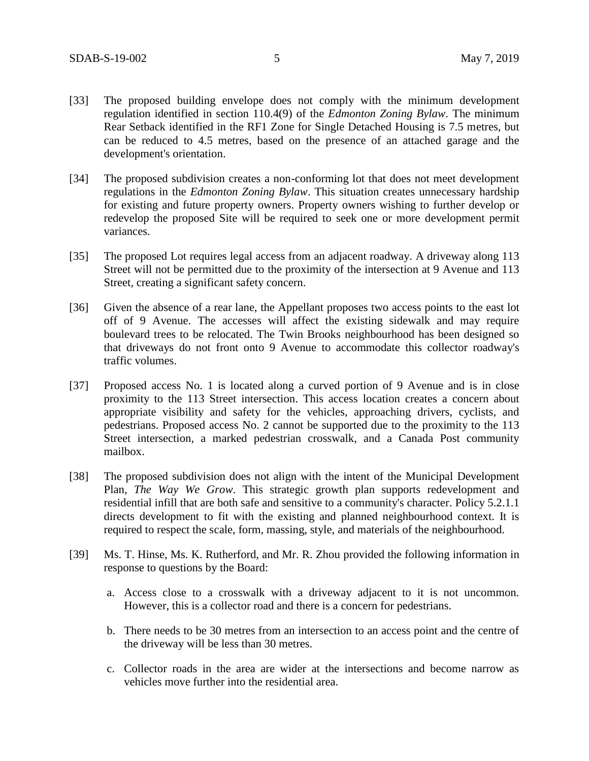- [33] The proposed building envelope does not comply with the minimum development regulation identified in section 110.4(9) of the *Edmonton Zoning Bylaw*. The minimum Rear Setback identified in the RF1 Zone for Single Detached Housing is 7.5 metres, but can be reduced to 4.5 metres, based on the presence of an attached garage and the development's orientation.
- [34] The proposed subdivision creates a non-conforming lot that does not meet development regulations in the *Edmonton Zoning Bylaw*. This situation creates unnecessary hardship for existing and future property owners. Property owners wishing to further develop or redevelop the proposed Site will be required to seek one or more development permit variances.
- [35] The proposed Lot requires legal access from an adjacent roadway. A driveway along 113 Street will not be permitted due to the proximity of the intersection at 9 Avenue and 113 Street, creating a significant safety concern.
- [36] Given the absence of a rear lane, the Appellant proposes two access points to the east lot off of 9 Avenue. The accesses will affect the existing sidewalk and may require boulevard trees to be relocated. The Twin Brooks neighbourhood has been designed so that driveways do not front onto 9 Avenue to accommodate this collector roadway's traffic volumes.
- [37] Proposed access No. 1 is located along a curved portion of 9 Avenue and is in close proximity to the 113 Street intersection. This access location creates a concern about appropriate visibility and safety for the vehicles, approaching drivers, cyclists, and pedestrians. Proposed access No. 2 cannot be supported due to the proximity to the 113 Street intersection, a marked pedestrian crosswalk, and a Canada Post community mailbox.
- [38] The proposed subdivision does not align with the intent of the Municipal Development Plan, *The Way We Grow*. This strategic growth plan supports redevelopment and residential infill that are both safe and sensitive to a community's character. Policy 5.2.1.1 directs development to fit with the existing and planned neighbourhood context. It is required to respect the scale, form, massing, style, and materials of the neighbourhood.
- [39] Ms. T. Hinse, Ms. K. Rutherford, and Mr. R. Zhou provided the following information in response to questions by the Board:
	- a. Access close to a crosswalk with a driveway adjacent to it is not uncommon. However, this is a collector road and there is a concern for pedestrians.
	- b. There needs to be 30 metres from an intersection to an access point and the centre of the driveway will be less than 30 metres.
	- c. Collector roads in the area are wider at the intersections and become narrow as vehicles move further into the residential area.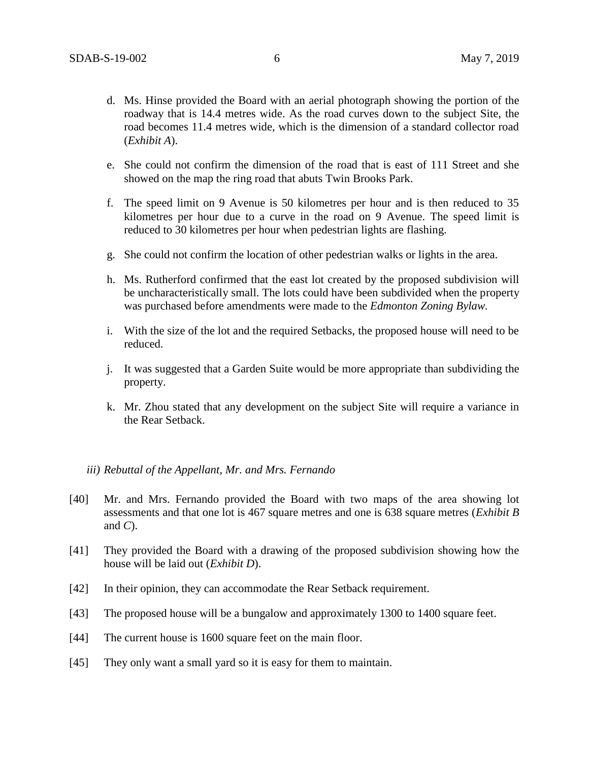- d. Ms. Hinse provided the Board with an aerial photograph showing the portion of the roadway that is 14.4 metres wide. As the road curves down to the subject Site, the road becomes 11.4 metres wide, which is the dimension of a standard collector road (*Exhibit A*).
- e. She could not confirm the dimension of the road that is east of 111 Street and she showed on the map the ring road that abuts Twin Brooks Park.
- f. The speed limit on 9 Avenue is 50 kilometres per hour and is then reduced to 35 kilometres per hour due to a curve in the road on 9 Avenue. The speed limit is reduced to 30 kilometres per hour when pedestrian lights are flashing.
- g. She could not confirm the location of other pedestrian walks or lights in the area.
- h. Ms. Rutherford confirmed that the east lot created by the proposed subdivision will be uncharacteristically small. The lots could have been subdivided when the property was purchased before amendments were made to the *Edmonton Zoning Bylaw.*
- i. With the size of the lot and the required Setbacks, the proposed house will need to be reduced.
- j. It was suggested that a Garden Suite would be more appropriate than subdividing the property.
- k. Mr. Zhou stated that any development on the subject Site will require a variance in the Rear Setback.

## *iii) Rebuttal of the Appellant, Mr. and Mrs. Fernando*

- [40] Mr. and Mrs. Fernando provided the Board with two maps of the area showing lot assessments and that one lot is 467 square metres and one is 638 square metres (*Exhibit B* and *C*).
- [41] They provided the Board with a drawing of the proposed subdivision showing how the house will be laid out (*Exhibit D*).
- [42] In their opinion, they can accommodate the Rear Setback requirement.
- [43] The proposed house will be a bungalow and approximately 1300 to 1400 square feet.
- [44] The current house is 1600 square feet on the main floor.
- [45] They only want a small yard so it is easy for them to maintain.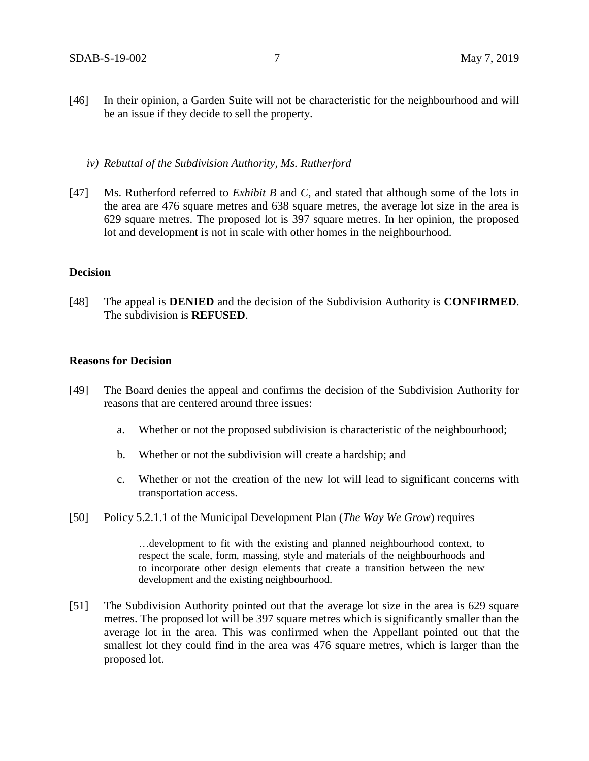- [46] In their opinion, a Garden Suite will not be characteristic for the neighbourhood and will be an issue if they decide to sell the property.
	- *iv) Rebuttal of the Subdivision Authority, Ms. Rutherford*
- [47] Ms. Rutherford referred to *Exhibit B* and *C*, and stated that although some of the lots in the area are 476 square metres and 638 square metres, the average lot size in the area is 629 square metres. The proposed lot is 397 square metres. In her opinion, the proposed lot and development is not in scale with other homes in the neighbourhood.

## **Decision**

[48] The appeal is **DENIED** and the decision of the Subdivision Authority is **CONFIRMED**. The subdivision is **REFUSED**.

# **Reasons for Decision**

- [49] The Board denies the appeal and confirms the decision of the Subdivision Authority for reasons that are centered around three issues:
	- a. Whether or not the proposed subdivision is characteristic of the neighbourhood;
	- b. Whether or not the subdivision will create a hardship; and
	- c. Whether or not the creation of the new lot will lead to significant concerns with transportation access.
- [50] Policy 5.2.1.1 of the Municipal Development Plan (*The Way We Grow*) requires

…development to fit with the existing and planned neighbourhood context, to respect the scale, form, massing, style and materials of the neighbourhoods and to incorporate other design elements that create a transition between the new development and the existing neighbourhood.

[51] The Subdivision Authority pointed out that the average lot size in the area is 629 square metres. The proposed lot will be 397 square metres which is significantly smaller than the average lot in the area. This was confirmed when the Appellant pointed out that the smallest lot they could find in the area was 476 square metres, which is larger than the proposed lot.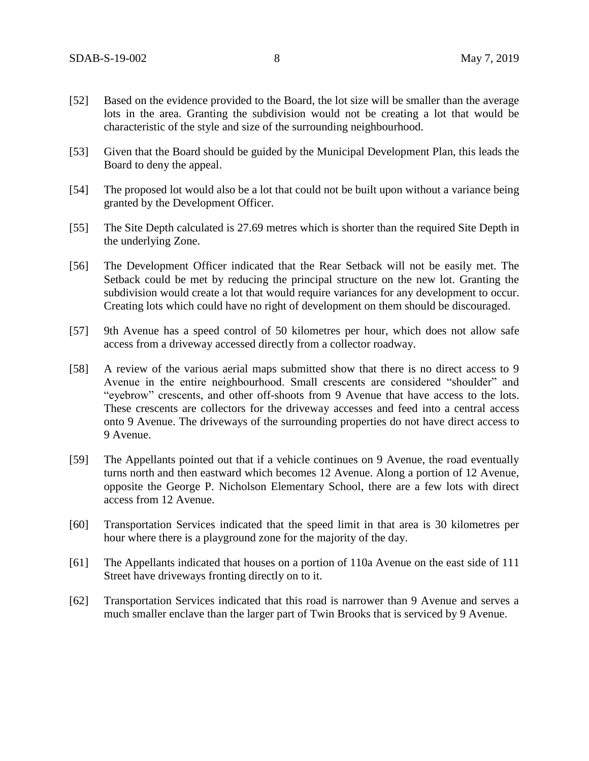- [52] Based on the evidence provided to the Board, the lot size will be smaller than the average lots in the area. Granting the subdivision would not be creating a lot that would be characteristic of the style and size of the surrounding neighbourhood.
- [53] Given that the Board should be guided by the Municipal Development Plan, this leads the Board to deny the appeal.
- [54] The proposed lot would also be a lot that could not be built upon without a variance being granted by the Development Officer.
- [55] The Site Depth calculated is 27.69 metres which is shorter than the required Site Depth in the underlying Zone.
- [56] The Development Officer indicated that the Rear Setback will not be easily met. The Setback could be met by reducing the principal structure on the new lot. Granting the subdivision would create a lot that would require variances for any development to occur. Creating lots which could have no right of development on them should be discouraged.
- [57] 9th Avenue has a speed control of 50 kilometres per hour, which does not allow safe access from a driveway accessed directly from a collector roadway.
- [58] A review of the various aerial maps submitted show that there is no direct access to 9 Avenue in the entire neighbourhood. Small crescents are considered "shoulder" and "eyebrow" crescents, and other off-shoots from 9 Avenue that have access to the lots. These crescents are collectors for the driveway accesses and feed into a central access onto 9 Avenue. The driveways of the surrounding properties do not have direct access to 9 Avenue.
- [59] The Appellants pointed out that if a vehicle continues on 9 Avenue, the road eventually turns north and then eastward which becomes 12 Avenue. Along a portion of 12 Avenue, opposite the George P. Nicholson Elementary School, there are a few lots with direct access from 12 Avenue.
- [60] Transportation Services indicated that the speed limit in that area is 30 kilometres per hour where there is a playground zone for the majority of the day.
- [61] The Appellants indicated that houses on a portion of 110a Avenue on the east side of 111 Street have driveways fronting directly on to it.
- [62] Transportation Services indicated that this road is narrower than 9 Avenue and serves a much smaller enclave than the larger part of Twin Brooks that is serviced by 9 Avenue.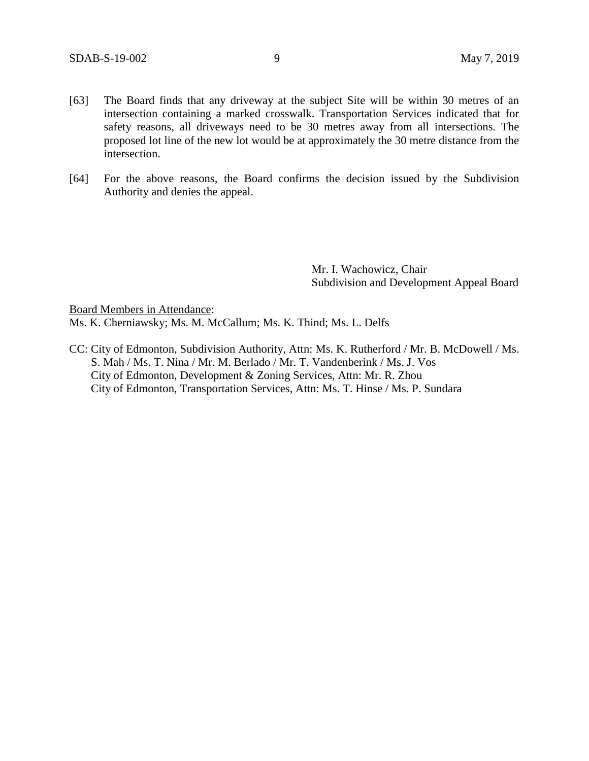- [63] The Board finds that any driveway at the subject Site will be within 30 metres of an intersection containing a marked crosswalk. Transportation Services indicated that for safety reasons, all driveways need to be 30 metres away from all intersections. The proposed lot line of the new lot would be at approximately the 30 metre distance from the intersection.
- [64] For the above reasons, the Board confirms the decision issued by the Subdivision Authority and denies the appeal.

Mr. I. Wachowicz, Chair Subdivision and Development Appeal Board

Board Members in Attendance:

Ms. K. Cherniawsky; Ms. M. McCallum; Ms. K. Thind; Ms. L. Delfs

CC: City of Edmonton, Subdivision Authority, Attn: Ms. K. Rutherford / Mr. B. McDowell / Ms. S. Mah / Ms. T. Nina / Mr. M. Berlado / Mr. T. Vandenberink / Ms. J. Vos City of Edmonton, Development & Zoning Services, Attn: Mr. R. Zhou City of Edmonton, Transportation Services, Attn: Ms. T. Hinse / Ms. P. Sundara